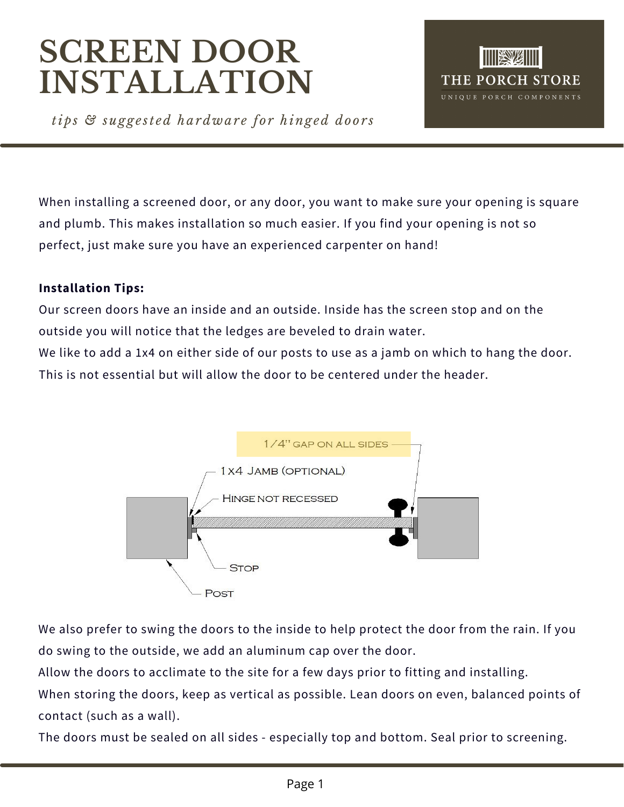# **SCREEN DOOR INSTALLATION**



*tips & sugge st ed hardwar e for hinged door s*

When installing a screened door, or any door, you want to make sure your opening is square and plumb. This makes installation so much easier. If you find your opening is not so perfect, just make sure you have an experienced carpenter on hand!

### **Installation Tips:**

Our screen doors have an inside and an outside. Inside has the screen stop and on the outside you will notice that the ledges are beveled to drain water.

We like to add a 1x4 on either side of our posts to use as a jamb on which to hang the door. This is not essential but will allow the door to be centered under the header.



We also prefer to swing the doors to the inside to help protect the door from the rain. If you do swing to the outside, we add an aluminum cap over the door.

Allow the doors to acclimate to the site for a few days prior to fitting and installing.

When storing the doors, keep as vertical as possible. Lean doors on even, balanced points of contact (such as a wall).

The doors must be sealed on all sides - especially top and bottom. Seal prior to screening.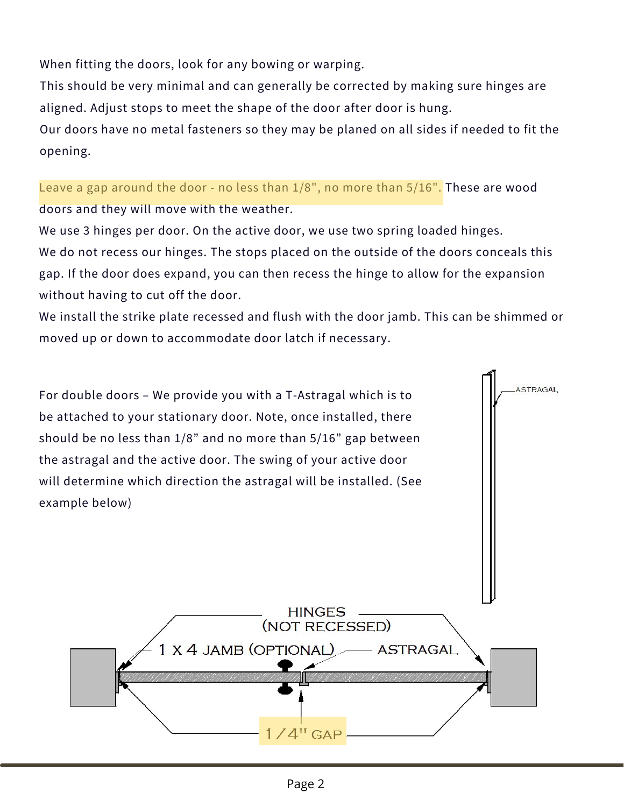When fitting the doors, look for any bowing or warping.

This should be very minimal and can generally be [corrected](http://www.completehomehardware.com/the-porch-co-screen-door-hardware-package/) by making sure hinges are aligned. Adjust stops to meet the shape of the door after door is hung.

Our doors have no metal fasteners so they may be planed on all sides if needed to fit the opening.

Leave a gap around the door - no less than  $1/8$ ", no more than  $5/16$ ". These are wood doors and they will move with the weather.

We use 3 hinges per door. On the active door, we use two spring loaded hinges. We do not recess our hinges. The stops placed on the outside of the doors conceals this gap. If the door does expand, you can then recess the hinge to allow for the expansion without having to cut off the door.

We install the strike plate recessed and flush with the door jamb. This can be shimmed or moved up or down to [accommodate](http://www.completehomehardware.com/the-porch-co-screen-door-hardware-package/) door latch if necessary.

ASTRAGAL For double doors – We provide you with a T-Astragal which is to be attached to your stationary door. Note, once installed, there should be no less than 1/8" and no more than 5/16" gap between the astragal and the active door. The swing of your active door will [determine](http://www.completehomehardware.com/the-porch-co-screen-door-hardware-package/) which direction the astragal will be installed. (See example below) **HINGES** (NOT RECESSED) 1 X 4 JAMB (OPTIONAL) **ASTRAGAL**  $4^{\mathrm{H}}$  GAP